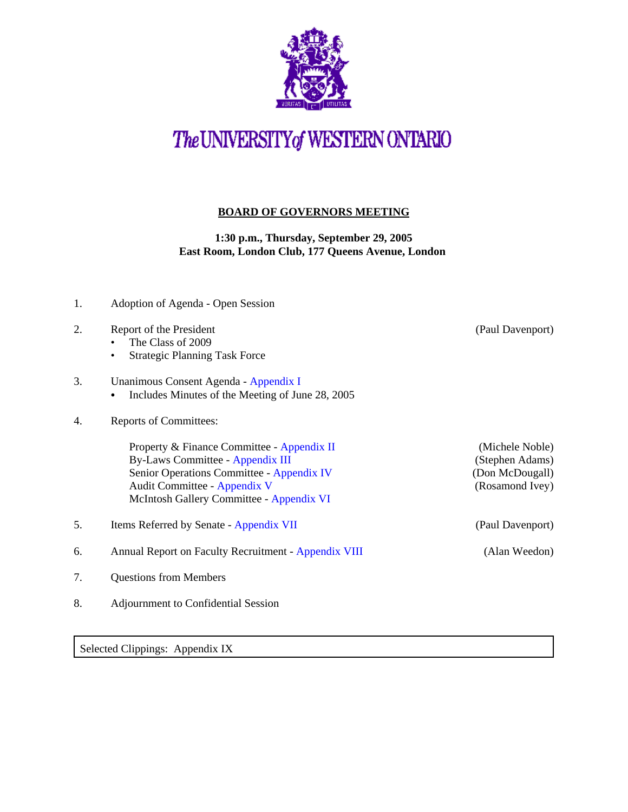

## The UNIVERSITY of WESTERN ONTARIO

## **BOARD OF GOVERNORS MEETING**

**1:30 p.m., Thursday, September 29, 2005 East Room, London Club, 177 Queens Avenue, London** 

- 1. Adoption of Agenda Open Session 2. Report of the President (Paul Davenport) • The Class of 2009 • Strategic Planning Task Force 3. Unanimous Consent Agenda - [Appendix I](http://www.uwo.ca/univsec/board/minutes/2005/r0509consent.pdf)  • Includes Minutes of the Meeting of June 28, 2005 4. Reports of Committees: Property & Finance Committee - [Appendix II](http://www.uwo.ca/univsec/board/minutes/2005/r0509pf.pdf) (Michele Noble) By-Laws Committee - [Appendix III](http://www.uwo.ca/univsec/board/minutes/2005/r0509bylaws.pdf) (Stephen Adams) Senior Operations Committee - [Appendix IV](http://www.uwo.ca/univsec/board/minutes/2005/r0509srops.pdf) (Don McDougall) Audit Committee - [Appendix V](http://www.uwo.ca/univsec/board/minutes/2005/r0509aud.pdf) (Rosamond Ivey) McIntosh Gallery Committee - [Appendix VI](http://www.uwo.ca/univsec/board/minutes/2005/r0509mcintosh.pdf) 5. Items Referred by Senate - [Appendix VII](http://www.uwo.ca/univsec/board/minutes/2005/r0509sen.pdf) (Paul Davenport) 6. Annual Report on Faculty Recruitment - [Appendix VIII](http://www.uwo.ca/univsec/board/minutes/2005/r0509recruitpptpdf.pdf) (Alan Weedon)
- 7. Questions from Members
- 8. Adjournment to Confidential Session

Selected Clippings: Appendix IX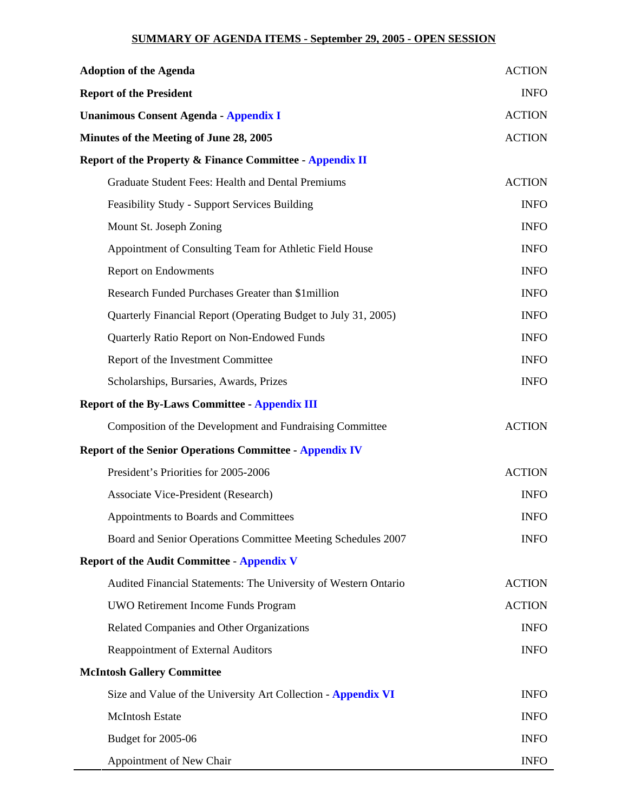## **SUMMARY OF AGENDA ITEMS - September 29, 2005 - OPEN SESSION**

| <b>Adoption of the Agenda</b>                                   | <b>ACTION</b> |
|-----------------------------------------------------------------|---------------|
| <b>Report of the President</b>                                  | <b>INFO</b>   |
| <b>Unanimous Consent Agenda - Appendix I</b>                    | <b>ACTION</b> |
| Minutes of the Meeting of June 28, 2005                         | <b>ACTION</b> |
| Report of the Property & Finance Committee - Appendix II        |               |
| <b>Graduate Student Fees: Health and Dental Premiums</b>        | <b>ACTION</b> |
| <b>Feasibility Study - Support Services Building</b>            | <b>INFO</b>   |
| Mount St. Joseph Zoning                                         | <b>INFO</b>   |
| Appointment of Consulting Team for Athletic Field House         | <b>INFO</b>   |
| <b>Report on Endowments</b>                                     | <b>INFO</b>   |
| Research Funded Purchases Greater than \$1 million              | <b>INFO</b>   |
| Quarterly Financial Report (Operating Budget to July 31, 2005)  | <b>INFO</b>   |
| Quarterly Ratio Report on Non-Endowed Funds                     | <b>INFO</b>   |
| Report of the Investment Committee                              | <b>INFO</b>   |
| Scholarships, Bursaries, Awards, Prizes                         | <b>INFO</b>   |
| <b>Report of the By-Laws Committee - Appendix III</b>           |               |
| Composition of the Development and Fundraising Committee        | <b>ACTION</b> |
| <b>Report of the Senior Operations Committee - Appendix IV</b>  |               |
| President's Priorities for 2005-2006                            | <b>ACTION</b> |
| <b>Associate Vice-President (Research)</b>                      | <b>INFO</b>   |
| Appointments to Boards and Committees                           | <b>INFO</b>   |
| Board and Senior Operations Committee Meeting Schedules 2007    | <b>INFO</b>   |
| <b>Report of the Audit Committee - Appendix V</b>               |               |
| Audited Financial Statements: The University of Western Ontario | <b>ACTION</b> |
| UWO Retirement Income Funds Program                             | <b>ACTION</b> |
| Related Companies and Other Organizations                       | <b>INFO</b>   |
| Reappointment of External Auditors                              | <b>INFO</b>   |
| <b>McIntosh Gallery Committee</b>                               |               |
| Size and Value of the University Art Collection - Appendix VI   | <b>INFO</b>   |
| <b>McIntosh Estate</b>                                          | <b>INFO</b>   |
| Budget for 2005-06                                              | <b>INFO</b>   |
| Appointment of New Chair                                        | <b>INFO</b>   |